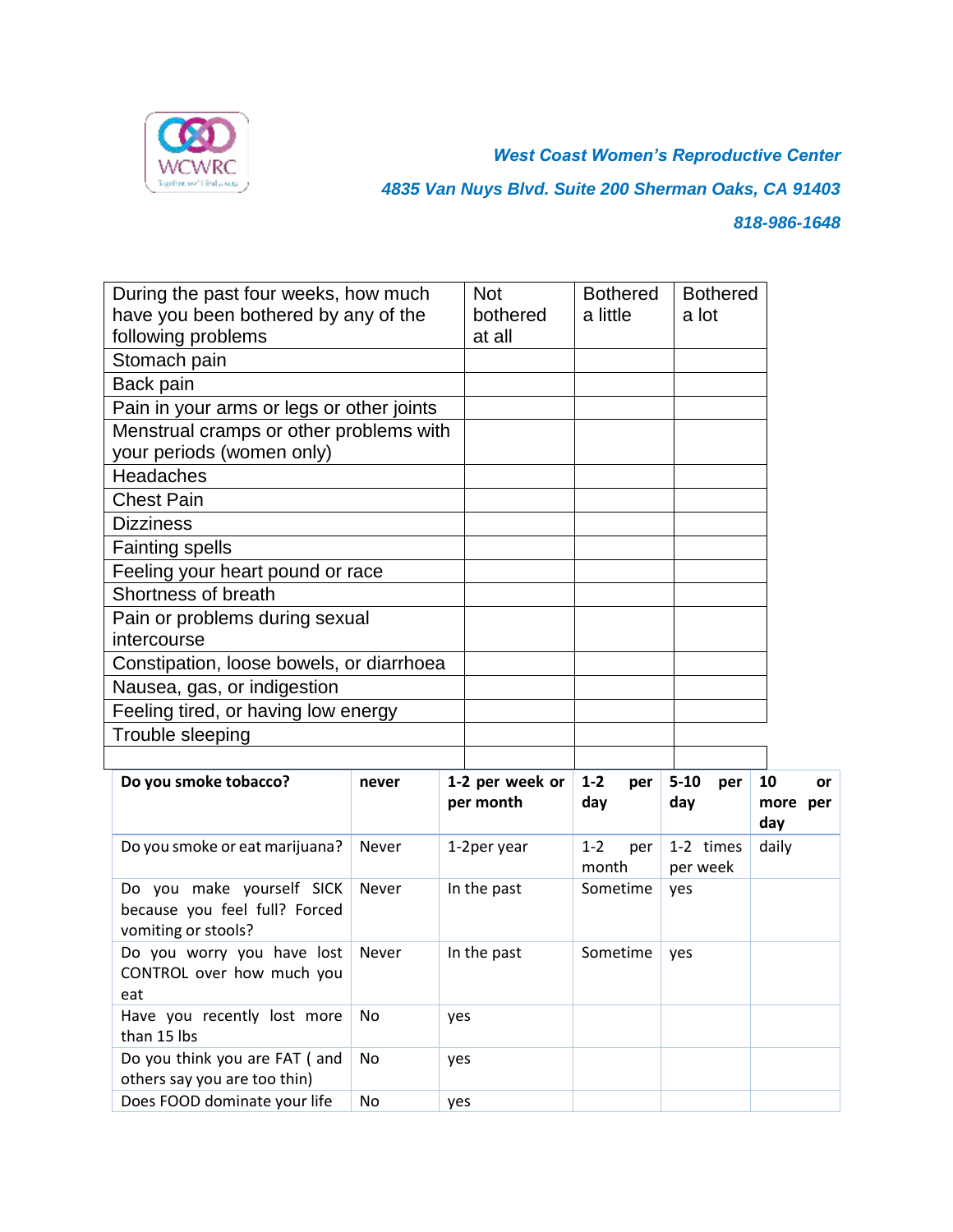

*West Coast Women's Reproductive Center 4835 Van Nuys Blvd. Suite 200 Sherman Oaks, CA 91403 818-986-1648*

| have you been bothered by any of the                                                           | During the past four weeks, how much |     | <b>Not</b><br>bothered | a little         | <b>Bothered</b> | a lot    | <b>Bothered</b> |              |           |
|------------------------------------------------------------------------------------------------|--------------------------------------|-----|------------------------|------------------|-----------------|----------|-----------------|--------------|-----------|
| following problems                                                                             |                                      |     | at all                 |                  |                 |          |                 |              |           |
| Stomach pain                                                                                   |                                      |     |                        |                  |                 |          |                 |              |           |
| Back pain                                                                                      |                                      |     |                        |                  |                 |          |                 |              |           |
| Pain in your arms or legs or other joints                                                      |                                      |     |                        |                  |                 |          |                 |              |           |
| Menstrual cramps or other problems with<br>your periods (women only)                           |                                      |     |                        |                  |                 |          |                 |              |           |
| Headaches                                                                                      |                                      |     |                        |                  |                 |          |                 |              |           |
| <b>Chest Pain</b>                                                                              |                                      |     |                        |                  |                 |          |                 |              |           |
| <b>Dizziness</b>                                                                               |                                      |     |                        |                  |                 |          |                 |              |           |
| <b>Fainting spells</b>                                                                         |                                      |     |                        |                  |                 |          |                 |              |           |
| Feeling your heart pound or race                                                               |                                      |     |                        |                  |                 |          |                 |              |           |
| Shortness of breath                                                                            |                                      |     |                        |                  |                 |          |                 |              |           |
| Pain or problems during sexual                                                                 |                                      |     |                        |                  |                 |          |                 |              |           |
| intercourse                                                                                    |                                      |     |                        |                  |                 |          |                 |              |           |
| Constipation, loose bowels, or diarrhoea                                                       |                                      |     |                        |                  |                 |          |                 |              |           |
| Nausea, gas, or indigestion                                                                    |                                      |     |                        |                  |                 |          |                 |              |           |
|                                                                                                |                                      |     |                        |                  |                 |          |                 |              |           |
| Feeling tired, or having low energy                                                            |                                      |     |                        |                  |                 |          |                 |              |           |
| Trouble sleeping                                                                               |                                      |     |                        |                  |                 |          |                 |              |           |
|                                                                                                |                                      |     |                        |                  |                 |          |                 |              |           |
| Do you smoke tobacco?                                                                          | never                                |     | 1-2 per week or        | $1 - 2$          | per             | $5 - 10$ | per             | 10           | <b>or</b> |
|                                                                                                |                                      |     | per month              | day              |                 | day      |                 |              | more per  |
| Do you smoke or eat marijuana?                                                                 | Never                                |     | 1-2per year            | $1 - 2$<br>month | per             | per week | 1-2 times       | day<br>daily |           |
| Do you make yourself SICK<br>because you feel full? Forced<br>vomiting or stools?              | Never                                |     | In the past            |                  | Sometime        | yes      |                 |              |           |
| Do you worry you have lost<br>CONTROL over how much you<br>eat                                 | <b>Never</b>                         |     | In the past            | Sometime         |                 | yes      |                 |              |           |
| Have you recently lost more<br>than 15 lbs                                                     | No                                   | yes |                        |                  |                 |          |                 |              |           |
| Do you think you are FAT ( and<br>others say you are too thin)<br>Does FOOD dominate your life | No<br>No                             | yes |                        |                  |                 |          |                 |              |           |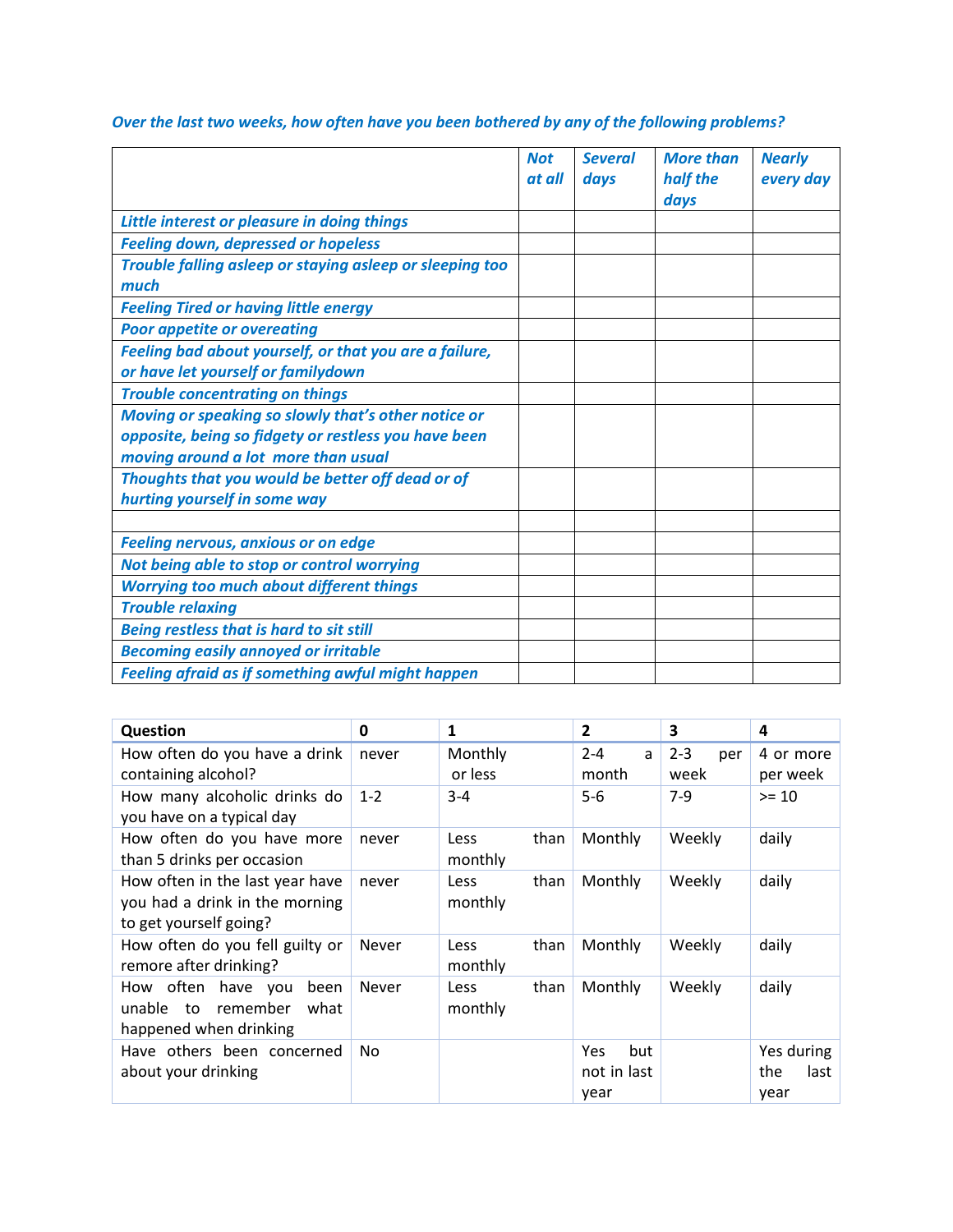|                                                                                                                                                    | <b>Not</b><br>at all | <b>Several</b><br>days | <b>More than</b><br>half the<br>days | <b>Nearly</b><br>every day |
|----------------------------------------------------------------------------------------------------------------------------------------------------|----------------------|------------------------|--------------------------------------|----------------------------|
| Little interest or pleasure in doing things                                                                                                        |                      |                        |                                      |                            |
| <b>Feeling down, depressed or hopeless</b>                                                                                                         |                      |                        |                                      |                            |
| Trouble falling asleep or staying asleep or sleeping too<br>much                                                                                   |                      |                        |                                      |                            |
| <b>Feeling Tired or having little energy</b>                                                                                                       |                      |                        |                                      |                            |
| <b>Poor appetite or overeating</b>                                                                                                                 |                      |                        |                                      |                            |
| Feeling bad about yourself, or that you are a failure,<br>or have let yourself or familydown                                                       |                      |                        |                                      |                            |
| <b>Trouble concentrating on things</b>                                                                                                             |                      |                        |                                      |                            |
| Moving or speaking so slowly that's other notice or<br>opposite, being so fidgety or restless you have been<br>moving around a lot more than usual |                      |                        |                                      |                            |
| Thoughts that you would be better off dead or of<br>hurting yourself in some way                                                                   |                      |                        |                                      |                            |
|                                                                                                                                                    |                      |                        |                                      |                            |
| <b>Feeling nervous, anxious or on edge</b>                                                                                                         |                      |                        |                                      |                            |
| Not being able to stop or control worrying                                                                                                         |                      |                        |                                      |                            |
| <b>Worrying too much about different things</b>                                                                                                    |                      |                        |                                      |                            |
| <b>Trouble relaxing</b>                                                                                                                            |                      |                        |                                      |                            |
| <b>Being restless that is hard to sit still</b>                                                                                                    |                      |                        |                                      |                            |
| <b>Becoming easily annoyed or irritable</b>                                                                                                        |                      |                        |                                      |                            |
| <b>Feeling afraid as if something awful might happen</b>                                                                                           |                      |                        |                                      |                            |

*Over the last two weeks, how often have you been bothered by any of the following problems?* 

| <b>Question</b>                                                                             | 0            | 1                              | $\overline{2}$                    | 3              | 4                                 |
|---------------------------------------------------------------------------------------------|--------------|--------------------------------|-----------------------------------|----------------|-----------------------------------|
| How often do you have a drink                                                               | never        | Monthly                        | $2 - 4$<br>a                      | $2 - 3$<br>per | 4 or more                         |
| containing alcohol?                                                                         |              | or less                        | month                             | week           | per week                          |
| How many alcoholic drinks do<br>you have on a typical day                                   | $1 - 2$      | $3 - 4$                        | $5-6$                             | $7-9$          | $>= 10$                           |
| How often do you have more<br>than 5 drinks per occasion                                    | never        | than<br>Less<br>monthly        | Monthly                           | Weekly         | daily                             |
| How often in the last year have<br>you had a drink in the morning<br>to get yourself going? | never        | than<br><b>Less</b><br>monthly | Monthly                           | Weekly         | daily                             |
| How often do you fell guilty or<br>remore after drinking?                                   | <b>Never</b> | than<br>Less<br>monthly        | Monthly                           | Weekly         | daily                             |
| How often have you<br>been<br>remember<br>unable<br>to<br>what<br>happened when drinking    | <b>Never</b> | than<br><b>Less</b><br>monthly | Monthly                           | Weekly         | daily                             |
| Have others been concerned<br>about your drinking                                           | No           |                                | but<br>Yes<br>not in last<br>year |                | Yes during<br>the<br>last<br>year |